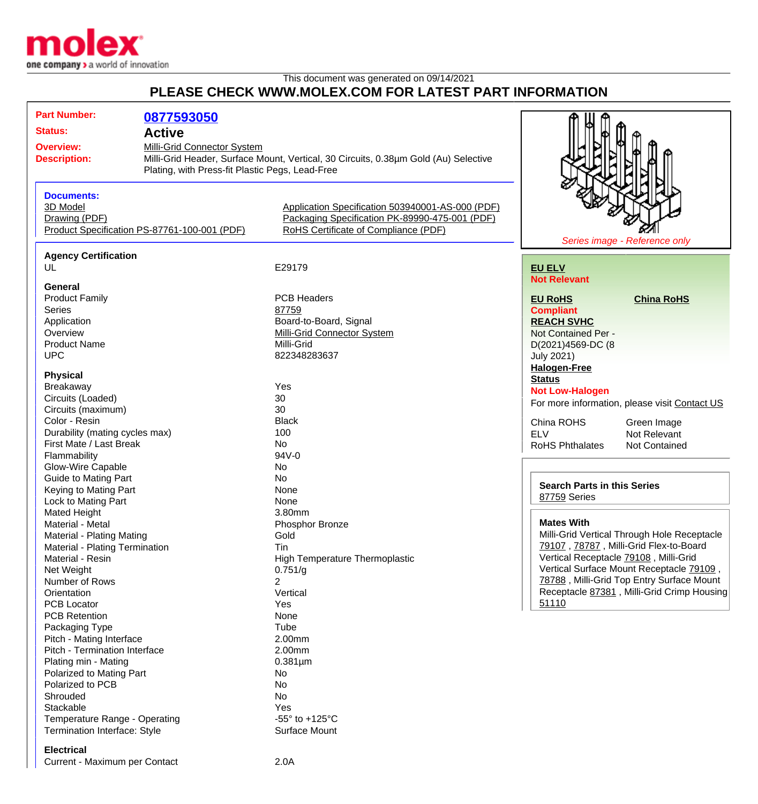

## This document was generated on 09/14/2021 **PLEASE CHECK WWW.MOLEX.COM FOR LATEST PART INFORMATION**

| <b>Part Number:</b>                                         |                                                 |                                                                                     |                                                |
|-------------------------------------------------------------|-------------------------------------------------|-------------------------------------------------------------------------------------|------------------------------------------------|
|                                                             | 0877593050                                      |                                                                                     |                                                |
| <b>Status:</b>                                              | <b>Active</b>                                   |                                                                                     |                                                |
| <b>Overview:</b>                                            | Milli-Grid Connector System                     |                                                                                     |                                                |
| <b>Description:</b>                                         |                                                 | Milli-Grid Header, Surface Mount, Vertical, 30 Circuits, 0.38µm Gold (Au) Selective |                                                |
|                                                             | Plating, with Press-fit Plastic Pegs, Lead-Free |                                                                                     |                                                |
|                                                             |                                                 |                                                                                     |                                                |
| <b>Documents:</b>                                           |                                                 |                                                                                     |                                                |
| 3D Model                                                    |                                                 | Application Specification 503940001-AS-000 (PDF)                                    |                                                |
| Drawing (PDF)                                               |                                                 | Packaging Specification PK-89990-475-001 (PDF)                                      |                                                |
| Product Specification PS-87761-100-001 (PDF)                |                                                 | RoHS Certificate of Compliance (PDF)                                                |                                                |
|                                                             |                                                 |                                                                                     | Series image - Reference only                  |
| <b>Agency Certification</b>                                 |                                                 |                                                                                     |                                                |
| UL                                                          |                                                 | E29179                                                                              | <b>EU ELV</b>                                  |
|                                                             |                                                 |                                                                                     | <b>Not Relevant</b>                            |
| General<br><b>Product Family</b>                            |                                                 | <b>PCB Headers</b>                                                                  | <b>China RoHS</b><br><b>EU RoHS</b>            |
| <b>Series</b>                                               |                                                 | 87759                                                                               |                                                |
|                                                             |                                                 |                                                                                     | <b>Compliant</b>                               |
| Application                                                 |                                                 | Board-to-Board, Signal                                                              | <b>REACH SVHC</b>                              |
| Overview                                                    |                                                 | <b>Milli-Grid Connector System</b><br>Milli-Grid                                    | Not Contained Per -                            |
| <b>Product Name</b>                                         |                                                 |                                                                                     | D(2021)4569-DC (8                              |
| <b>UPC</b>                                                  |                                                 | 822348283637                                                                        | <b>July 2021)</b>                              |
| <b>Physical</b>                                             |                                                 |                                                                                     | <b>Halogen-Free</b>                            |
| Breakaway                                                   |                                                 | Yes                                                                                 | <b>Status</b>                                  |
| Circuits (Loaded)                                           |                                                 | 30                                                                                  | <b>Not Low-Halogen</b>                         |
| Circuits (maximum)                                          |                                                 | 30                                                                                  | For more information, please visit Contact US  |
| Color - Resin                                               |                                                 | <b>Black</b>                                                                        | China ROHS<br>Green Image                      |
| Durability (mating cycles max)                              |                                                 | 100                                                                                 | <b>ELV</b><br>Not Relevant                     |
| First Mate / Last Break                                     |                                                 | No.                                                                                 | <b>RoHS Phthalates</b><br><b>Not Contained</b> |
| Flammability                                                |                                                 | 94V-0                                                                               |                                                |
| <b>Glow-Wire Capable</b>                                    |                                                 | No                                                                                  |                                                |
| <b>Guide to Mating Part</b>                                 |                                                 | No                                                                                  |                                                |
| Keying to Mating Part                                       |                                                 | None                                                                                | <b>Search Parts in this Series</b>             |
| Lock to Mating Part                                         |                                                 | None                                                                                | 87759 Series                                   |
| Mated Height                                                |                                                 | 3.80mm                                                                              |                                                |
| Material - Metal                                            |                                                 | Phosphor Bronze                                                                     | <b>Mates With</b>                              |
|                                                             |                                                 | Gold                                                                                | Milli-Grid Vertical Through Hole Receptacle    |
| Material - Plating Mating<br>Material - Plating Termination |                                                 | Tin                                                                                 | 79107, 78787, Milli-Grid Flex-to-Board         |
| Material - Resin                                            |                                                 | <b>High Temperature Thermoplastic</b>                                               | Vertical Receptacle 79108, Milli-Grid          |
| Net Weight                                                  |                                                 | 0.751/g                                                                             | Vertical Surface Mount Receptacle 79109,       |
| Number of Rows                                              |                                                 | 2                                                                                   | 78788, Milli-Grid Top Entry Surface Mount      |
| Orientation                                                 |                                                 | Vertical                                                                            | Receptacle 87381, Milli-Grid Crimp Housing     |
| <b>PCB Locator</b>                                          |                                                 | Yes                                                                                 | 51110                                          |
| <b>PCB Retention</b>                                        |                                                 | None                                                                                |                                                |
| Packaging Type                                              |                                                 | Tube                                                                                |                                                |
| Pitch - Mating Interface                                    |                                                 | 2.00mm                                                                              |                                                |
| Pitch - Termination Interface                               |                                                 | 2.00mm                                                                              |                                                |
| Plating min - Mating                                        |                                                 | $0.381 \mu m$                                                                       |                                                |
| Polarized to Mating Part                                    |                                                 | No                                                                                  |                                                |
| Polarized to PCB                                            |                                                 | No                                                                                  |                                                |
| Shrouded                                                    |                                                 | No                                                                                  |                                                |
| Stackable                                                   |                                                 | Yes                                                                                 |                                                |
| Temperature Range - Operating                               |                                                 | -55 $\degree$ to +125 $\degree$ C                                                   |                                                |
| Termination Interface: Style                                |                                                 | Surface Mount                                                                       |                                                |
|                                                             |                                                 |                                                                                     |                                                |

## **Electrical**

Current - Maximum per Contact 2.0A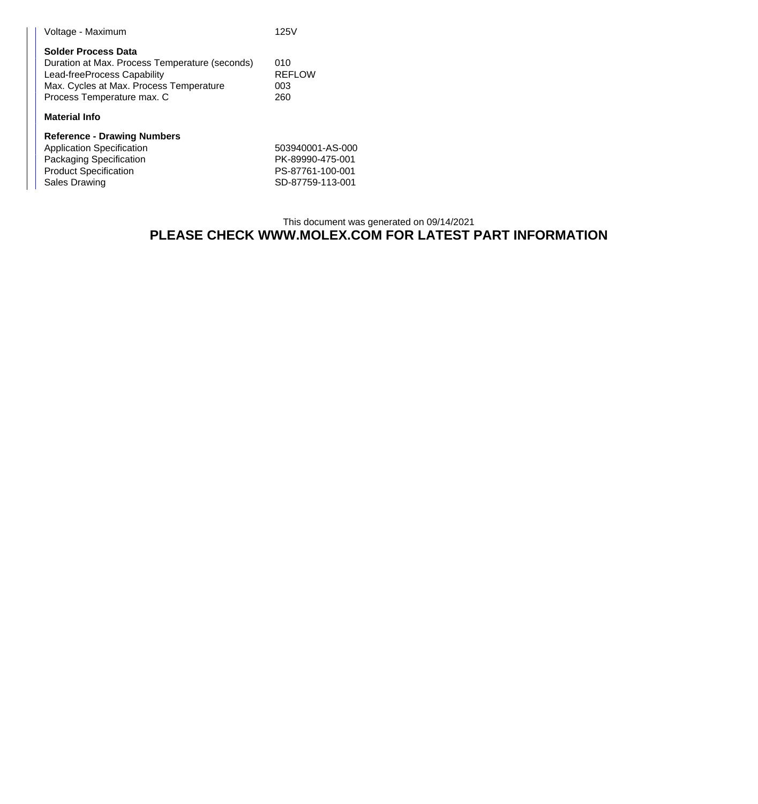| Voltage - Maximum                                                                                                                                                             | 125V                               |
|-------------------------------------------------------------------------------------------------------------------------------------------------------------------------------|------------------------------------|
| Solder Process Data<br>Duration at Max. Process Temperature (seconds)<br>Lead-freeProcess Capability<br>Max. Cycles at Max. Process Temperature<br>Process Temperature max. C | 010<br><b>REFLOW</b><br>003<br>260 |
| <b>Material Info</b>                                                                                                                                                          |                                    |
| <b>Reference - Drawing Numbers</b><br>Annlication Specification                                                                                                               | 503940001                          |

| <b>Application Specification</b> | 503940001-AS-000 |
|----------------------------------|------------------|
| Packaging Specification          | PK-89990-475-001 |
| <b>Product Specification</b>     | PS-87761-100-001 |
| Sales Drawing                    | SD-87759-113-001 |
|                                  |                  |

## This document was generated on 09/14/2021 **PLEASE CHECK WWW.MOLEX.COM FOR LATEST PART INFORMATION**